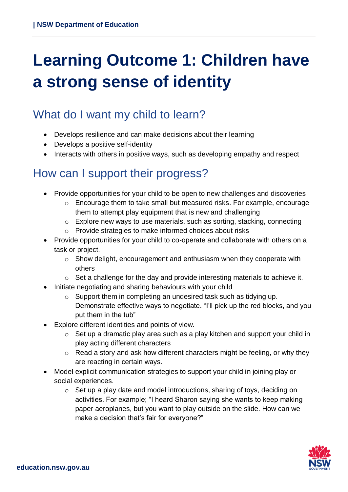# **Learning Outcome 1: Children have a strong sense of identity**

### What do I want my child to learn?

- Develops resilience and can make decisions about their learning
- Develops a positive self-identity
- Interacts with others in positive ways, such as developing empathy and respect

### How can I support their progress?

- Provide opportunities for your child to be open to new challenges and discoveries
	- o Encourage them to take small but measured risks. For example, encourage them to attempt play equipment that is new and challenging
	- $\circ$  Explore new ways to use materials, such as sorting, stacking, connecting
	- o Provide strategies to make informed choices about risks
- Provide opportunities for your child to co-operate and collaborate with others on a task or project.
	- o Show delight, encouragement and enthusiasm when they cooperate with others
	- o Set a challenge for the day and provide interesting materials to achieve it.
- Initiate negotiating and sharing behaviours with your child
	- o Support them in completing an undesired task such as tidying up.
		- Demonstrate effective ways to negotiate. "I'll pick up the red blocks, and you put them in the tub"
- Explore different identities and points of view.
	- o Set up a dramatic play area such as a play kitchen and support your child in play acting different characters
	- $\circ$  Read a story and ask how different characters might be feeling, or why they are reacting in certain ways.
- Model explicit communication strategies to support your child in joining play or social experiences.
	- o Set up a play date and model introductions, sharing of toys, deciding on activities. For example; "I heard Sharon saying she wants to keep making paper aeroplanes, but you want to play outside on the slide. How can we make a decision that's fair for everyone?"

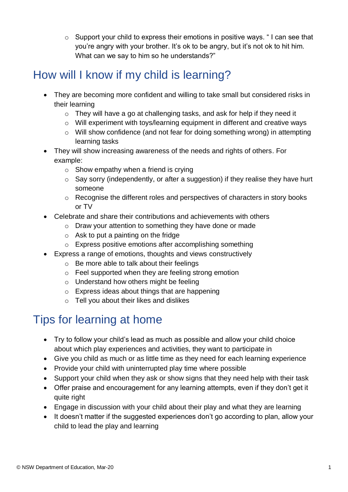$\circ$  Support your child to express their emotions in positive ways. "I can see that you're angry with your brother. It's ok to be angry, but it's not ok to hit him. What can we say to him so he understands?"

### How will I know if my child is learning?

- They are becoming more confident and willing to take small but considered risks in their learning
	- o They will have a go at challenging tasks, and ask for help if they need it
	- o Will experiment with toys/learning equipment in different and creative ways
	- o Will show confidence (and not fear for doing something wrong) in attempting learning tasks
- They will show increasing awareness of the needs and rights of others. For example:
	- $\circ$  Show empathy when a friend is crying
	- o Say sorry (independently, or after a suggestion) if they realise they have hurt someone
	- o Recognise the different roles and perspectives of characters in story books or TV
- Celebrate and share their contributions and achievements with others
	- o Draw your attention to something they have done or made
	- o Ask to put a painting on the fridge
	- o Express positive emotions after accomplishing something
- Express a range of emotions, thoughts and views constructively
	- o Be more able to talk about their feelings
	- o Feel supported when they are feeling strong emotion
	- o Understand how others might be feeling
	- o Express ideas about things that are happening
	- o Tell you about their likes and dislikes

## Tips for learning at home

- Try to follow your child's lead as much as possible and allow your child choice about which play experiences and activities, they want to participate in
- Give you child as much or as little time as they need for each learning experience
- Provide your child with uninterrupted play time where possible
- Support your child when they ask or show signs that they need help with their task
- Offer praise and encouragement for any learning attempts, even if they don't get it quite right
- Engage in discussion with your child about their play and what they are learning
- It doesn't matter if the suggested experiences don't go according to plan, allow your child to lead the play and learning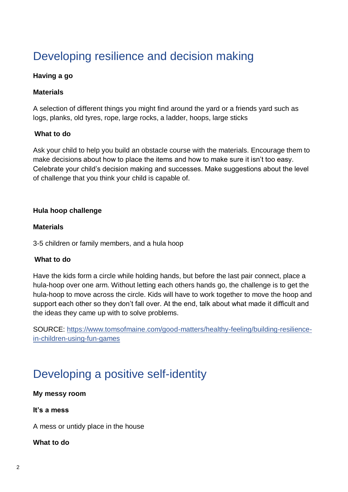## Developing resilience and decision making

#### **Having a go**

#### **Materials**

A selection of different things you might find around the yard or a friends yard such as logs, planks, old tyres, rope, large rocks, a ladder, hoops, large sticks

#### **What to do**

Ask your child to help you build an obstacle course with the materials. Encourage them to make decisions about how to place the items and how to make sure it isn't too easy. Celebrate your child's decision making and successes. Make suggestions about the level of challenge that you think your child is capable of.

#### **Hula hoop challenge**

#### **Materials**

3-5 children or family members, and a hula hoop

#### **What to do**

Have the kids form a circle while holding hands, but before the last pair connect, place a hula-hoop over one arm. Without letting each others hands go, the challenge is to get the hula-hoop to move across the circle. Kids will have to work together to move the hoop and support each other so they don't fall over. At the end, talk about what made it difficult and the ideas they came up with to solve problems.

SOURCE: [https://www.tomsofmaine.com/good-matters/healthy-feeling/building-resilience](https://www.tomsofmaine.com/good-matters/healthy-feeling/building-resilience-in-children-using-fun-games)[in-children-using-fun-games](https://www.tomsofmaine.com/good-matters/healthy-feeling/building-resilience-in-children-using-fun-games)

### Developing a positive self-identity

**My messy room**

**It's a mess**

A mess or untidy place in the house

#### **What to do**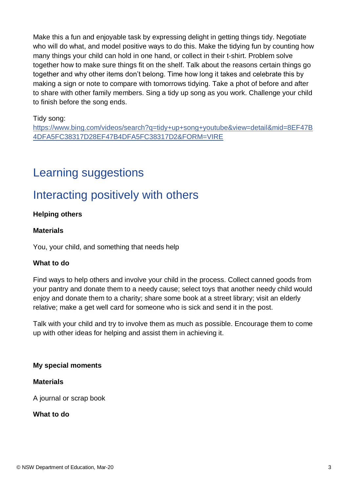Make this a fun and enjoyable task by expressing delight in getting things tidy. Negotiate who will do what, and model positive ways to do this. Make the tidying fun by counting how many things your child can hold in one hand, or collect in their t-shirt. Problem solve together how to make sure things fit on the shelf. Talk about the reasons certain things go together and why other items don't belong. Time how long it takes and celebrate this by making a sign or note to compare with tomorrows tidying. Take a phot of before and after to share with other family members. Sing a tidy up song as you work. Challenge your child to finish before the song ends.

#### Tidy song:

[https://www.bing.com/videos/search?q=tidy+up+song+youtube&view=detail&mid=8EF47B](https://www.bing.com/videos/search?q=tidy+up+song+youtube&view=detail&mid=8EF47B4DFA5FC38317D28EF47B4DFA5FC38317D2&FORM=VIRE) [4DFA5FC38317D28EF47B4DFA5FC38317D2&FORM=VIRE](https://www.bing.com/videos/search?q=tidy+up+song+youtube&view=detail&mid=8EF47B4DFA5FC38317D28EF47B4DFA5FC38317D2&FORM=VIRE)

### Learning suggestions

### Interacting positively with others

#### **Helping others**

#### **Materials**

You, your child, and something that needs help

#### **What to do**

Find ways to help others and involve your child in the process. Collect canned goods from your pantry and donate them to a needy cause; select toys that another needy child would enjoy and donate them to a charity; share some book at a street library; visit an elderly relative; make a get well card for someone who is sick and send it in the post.

Talk with your child and try to involve them as much as possible. Encourage them to come up with other ideas for helping and assist them in achieving it.

#### **My special moments**

#### **Materials**

A journal or scrap book

#### **What to do**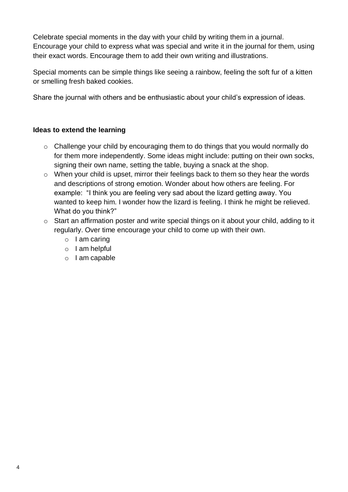Celebrate special moments in the day with your child by writing them in a journal. Encourage your child to express what was special and write it in the journal for them, using their exact words. Encourage them to add their own writing and illustrations.

Special moments can be simple things like seeing a rainbow, feeling the soft fur of a kitten or smelling fresh baked cookies.

Share the journal with others and be enthusiastic about your child's expression of ideas.

- o Challenge your child by encouraging them to do things that you would normally do for them more independently. Some ideas might include: putting on their own socks, signing their own name, setting the table, buying a snack at the shop.
- o When your child is upset, mirror their feelings back to them so they hear the words and descriptions of strong emotion. Wonder about how others are feeling. For example: "I think you are feeling very sad about the lizard getting away. You wanted to keep him. I wonder how the lizard is feeling. I think he might be relieved. What do you think?"
- o Start an affirmation poster and write special things on it about your child, adding to it regularly. Over time encourage your child to come up with their own.
	- $\circ$  I am caring
	- o I am helpful
	- o I am capable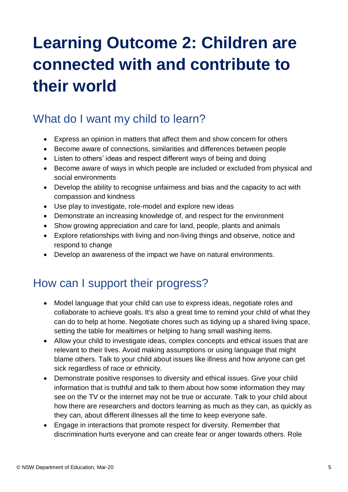# **Learning Outcome 2: Children are connected with and contribute to their world**

### What do I want my child to learn?

- Express an opinion in matters that affect them and show concern for others
- Become aware of connections, similarities and differences between people
- Listen to others' ideas and respect different ways of being and doing
- Become aware of ways in which people are included or excluded from physical and social environments
- Develop the ability to recognise unfairness and bias and the capacity to act with compassion and kindness
- Use play to investigate, role-model and explore new ideas
- Demonstrate an increasing knowledge of, and respect for the environment
- Show growing appreciation and care for land, people, plants and animals
- Explore relationships with living and non-living things and observe, notice and respond to change
- Develop an awareness of the impact we have on natural environments.

### How can I support their progress?

- Model language that your child can use to express ideas, negotiate roles and collaborate to achieve goals. It's also a great time to remind your child of what they can do to help at home. Negotiate chores such as tidying up a shared living space, setting the table for mealtimes or helping to hang small washing items.
- Allow your child to investigate ideas, complex concepts and ethical issues that are relevant to their lives. Avoid making assumptions or using language that might blame others. Talk to your child about issues like illness and how anyone can get sick regardless of race or ethnicity.
- Demonstrate positive responses to diversity and ethical issues. Give your child information that is truthful and talk to them about how some information they may see on the TV or the internet may not be true or accurate. Talk to your child about how there are researchers and doctors learning as much as they can, as quickly as they can, about different illnesses all the time to keep everyone safe.
- Engage in interactions that promote respect for diversity. Remember that discrimination hurts everyone and can create fear or anger towards others. Role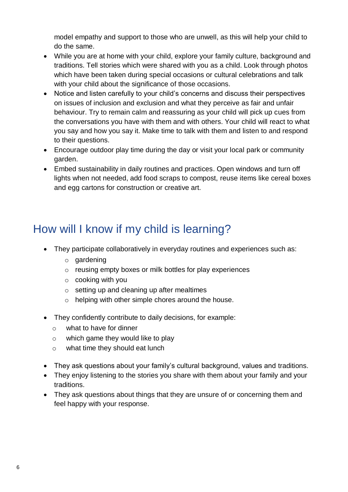model empathy and support to those who are unwell, as this will help your child to do the same.

- While you are at home with your child, explore your family culture, background and traditions. Tell stories which were shared with you as a child. Look through photos which have been taken during special occasions or cultural celebrations and talk with your child about the significance of those occasions.
- Notice and listen carefully to your child's concerns and discuss their perspectives on issues of inclusion and exclusion and what they perceive as fair and unfair behaviour. Try to remain calm and reassuring as your child will pick up cues from the conversations you have with them and with others. Your child will react to what you say and how you say it. Make time to talk with them and listen to and respond to their questions.
- Encourage outdoor play time during the day or visit your local park or community garden.
- Embed sustainability in daily routines and practices. Open windows and turn off lights when not needed, add food scraps to compost, reuse items like cereal boxes and egg cartons for construction or creative art.

## How will I know if my child is learning?

- They participate collaboratively in everyday routines and experiences such as:
	- o gardening
	- o reusing empty boxes or milk bottles for play experiences
	- o cooking with you
	- $\circ$  setting up and cleaning up after mealtimes
	- o helping with other simple chores around the house.
- They confidently contribute to daily decisions, for example:
	- o what to have for dinner
	- o which game they would like to play
	- o what time they should eat lunch
- They ask questions about your family's cultural background, values and traditions.
- They enjoy listening to the stories you share with them about your family and your traditions.
- They ask questions about things that they are unsure of or concerning them and feel happy with your response.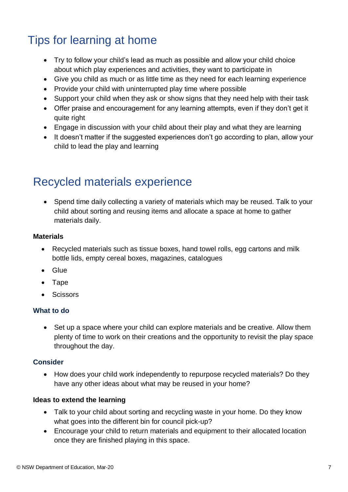### Tips for learning at home

- Try to follow your child's lead as much as possible and allow your child choice about which play experiences and activities, they want to participate in
- Give you child as much or as little time as they need for each learning experience
- Provide your child with uninterrupted play time where possible
- Support your child when they ask or show signs that they need help with their task
- Offer praise and encouragement for any learning attempts, even if they don't get it quite right
- Engage in discussion with your child about their play and what they are learning
- It doesn't matter if the suggested experiences don't go according to plan, allow your child to lead the play and learning

### Recycled materials experience

 Spend time daily collecting a variety of materials which may be reused. Talk to your child about sorting and reusing items and allocate a space at home to gather materials daily.

#### **Materials**

- Recycled materials such as tissue boxes, hand towel rolls, egg cartons and milk bottle lids, empty cereal boxes, magazines, catalogues
- Glue
- Tape
- Scissors

#### **What to do**

• Set up a space where your child can explore materials and be creative. Allow them plenty of time to work on their creations and the opportunity to revisit the play space throughout the day.

#### **Consider**

 How does your child work independently to repurpose recycled materials? Do they have any other ideas about what may be reused in your home?

- Talk to your child about sorting and recycling waste in your home. Do they know what goes into the different bin for council pick-up?
- Encourage your child to return materials and equipment to their allocated location once they are finished playing in this space.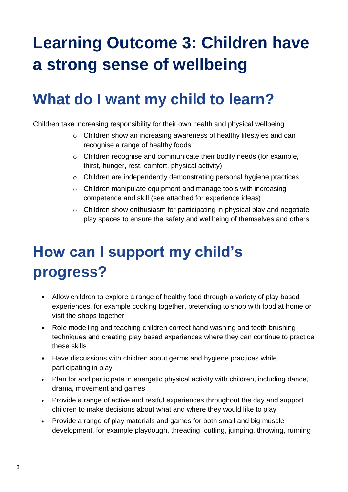# **Learning Outcome 3: Children have a strong sense of wellbeing**

# **What do I want my child to learn?**

Children take increasing responsibility for their own health and physical wellbeing

- o Children show an increasing awareness of healthy lifestyles and can recognise a range of healthy foods
- o Children recognise and communicate their bodily needs (for example, thirst, hunger, rest, comfort, physical activity)
- o Children are independently demonstrating personal hygiene practices
- o Children manipulate equipment and manage tools with increasing competence and skill (see attached for experience ideas)
- o Children show enthusiasm for participating in physical play and negotiate play spaces to ensure the safety and wellbeing of themselves and others

# **How can I support my child's progress?**

- Allow children to explore a range of healthy food through a variety of play based experiences, for example cooking together, pretending to shop with food at home or visit the shops together
- Role modelling and teaching children correct hand washing and teeth brushing techniques and creating play based experiences where they can continue to practice these skills
- Have discussions with children about germs and hygiene practices while participating in play
- Plan for and participate in energetic physical activity with children, including dance, drama, movement and games
- Provide a range of active and restful experiences throughout the day and support children to make decisions about what and where they would like to play
- Provide a range of play materials and games for both small and big muscle development, for example playdough, threading, cutting, jumping, throwing, running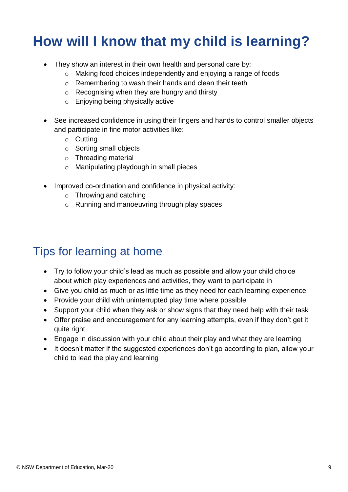# **How will I know that my child is learning?**

- They show an interest in their own health and personal care by:
	- o Making food choices independently and enjoying a range of foods
	- o Remembering to wash their hands and clean their teeth
	- o Recognising when they are hungry and thirsty
	- o Enjoying being physically active
- See increased confidence in using their fingers and hands to control smaller objects and participate in fine motor activities like:
	- o Cutting
	- o Sorting small objects
	- o Threading material
	- o Manipulating playdough in small pieces
- Improved co-ordination and confidence in physical activity:
	- o Throwing and catching
	- o Running and manoeuvring through play spaces

## Tips for learning at home

- Try to follow your child's lead as much as possible and allow your child choice about which play experiences and activities, they want to participate in
- Give you child as much or as little time as they need for each learning experience
- Provide your child with uninterrupted play time where possible
- Support your child when they ask or show signs that they need help with their task
- Offer praise and encouragement for any learning attempts, even if they don't get it quite right
- Engage in discussion with your child about their play and what they are learning
- It doesn't matter if the suggested experiences don't go according to plan, allow your child to lead the play and learning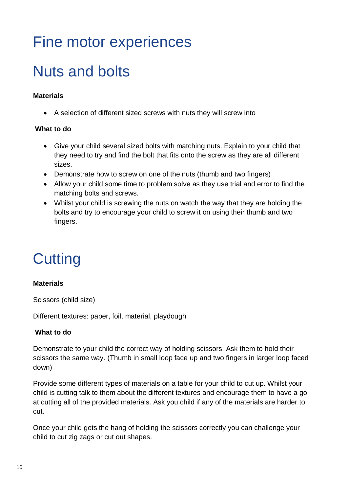# Fine motor experiences

# Nuts and bolts

#### **Materials**

A selection of different sized screws with nuts they will screw into

#### **What to do**

- Give your child several sized bolts with matching nuts. Explain to your child that they need to try and find the bolt that fits onto the screw as they are all different sizes.
- Demonstrate how to screw on one of the nuts (thumb and two fingers)
- Allow your child some time to problem solve as they use trial and error to find the matching bolts and screws.
- Whilst your child is screwing the nuts on watch the way that they are holding the bolts and try to encourage your child to screw it on using their thumb and two fingers.

# **Cutting**

#### **Materials**

Scissors (child size)

Different textures: paper, foil, material, playdough

#### **What to do**

Demonstrate to your child the correct way of holding scissors. Ask them to hold their scissors the same way. (Thumb in small loop face up and two fingers in larger loop faced down)

Provide some different types of materials on a table for your child to cut up. Whilst your child is cutting talk to them about the different textures and encourage them to have a go at cutting all of the provided materials. Ask you child if any of the materials are harder to cut.

Once your child gets the hang of holding the scissors correctly you can challenge your child to cut zig zags or cut out shapes.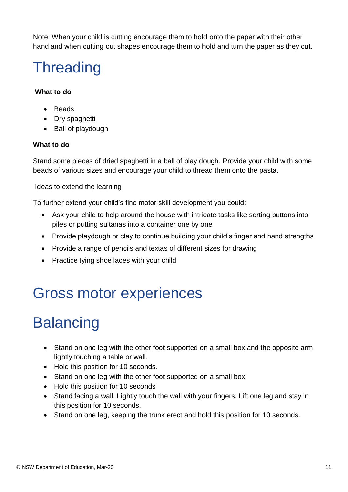Note: When your child is cutting encourage them to hold onto the paper with their other hand and when cutting out shapes encourage them to hold and turn the paper as they cut.

# **Threading**

#### **What to do**

- Beads
- Drv spaghetti
- Ball of playdough

#### **What to do**

Stand some pieces of dried spaghetti in a ball of play dough. Provide your child with some beads of various sizes and encourage your child to thread them onto the pasta.

Ideas to extend the learning

To further extend your child's fine motor skill development you could:

- Ask your child to help around the house with intricate tasks like sorting buttons into piles or putting sultanas into a container one by one
- Provide playdough or clay to continue building your child's finger and hand strengths
- Provide a range of pencils and textas of different sizes for drawing
- Practice tying shoe laces with your child

# Gross motor experiences

# **Balancing**

- Stand on one leg with the other foot supported on a small box and the opposite arm lightly touching a table or wall.
- Hold this position for 10 seconds.
- Stand on one leg with the other foot supported on a small box.
- Hold this position for 10 seconds
- Stand facing a wall. Lightly touch the wall with your fingers. Lift one leg and stay in this position for 10 seconds.
- Stand on one leg, keeping the trunk erect and hold this position for 10 seconds.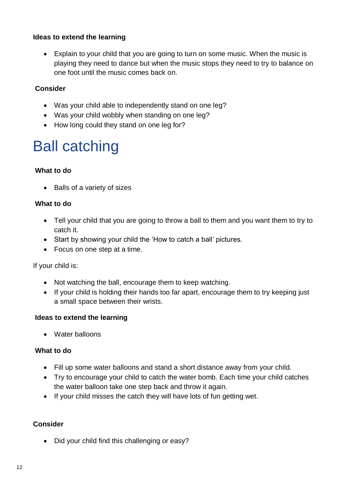#### **Ideas to extend the learning**

 Explain to your child that you are going to turn on some music. When the music is playing they need to dance but when the music stops they need to try to balance on one foot until the music comes back on.

#### **Consider**

- Was your child able to independently stand on one leg?
- Was your child wobbly when standing on one leg?
- How long could they stand on one leg for?

# Ball catching

#### **What to do**

• Balls of a variety of sizes

#### **What to do**

- Tell your child that you are going to throw a ball to them and you want them to try to catch it.
- Start by showing your child the 'How to catch a ball' pictures.
- Focus on one step at a time.

If your child is:

- Not watching the ball, encourage them to keep watching.
- If your child is holding their hands too far apart, encourage them to try keeping just a small space between their wrists.

#### **Ideas to extend the learning**

Water balloons

#### **What to do**

- Fill up some water balloons and stand a short distance away from your child.
- Try to encourage your child to catch the water bomb. Each time your child catches the water balloon take one step back and throw it again.
- If your child misses the catch they will have lots of fun getting wet.

#### **Consider**

Did your child find this challenging or easy?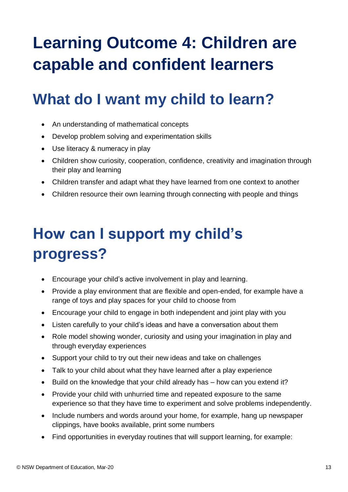# **Learning Outcome 4: Children are capable and confident learners**

# **What do I want my child to learn?**

- An understanding of mathematical concepts
- Develop problem solving and experimentation skills
- Use literacy & numeracy in play
- Children show curiosity, cooperation, confidence, creativity and imagination through their play and learning
- Children transfer and adapt what they have learned from one context to another
- Children resource their own learning through connecting with people and things

# **How can I support my child's progress?**

- Encourage your child's active involvement in play and learning.
- Provide a play environment that are flexible and open-ended, for example have a range of toys and play spaces for your child to choose from
- Encourage your child to engage in both independent and joint play with you
- Listen carefully to your child's ideas and have a conversation about them
- Role model showing wonder, curiosity and using your imagination in play and through everyday experiences
- Support your child to try out their new ideas and take on challenges
- Talk to your child about what they have learned after a play experience
- Build on the knowledge that your child already has how can you extend it?
- Provide your child with unhurried time and repeated exposure to the same experience so that they have time to experiment and solve problems independently.
- Include numbers and words around your home, for example, hang up newspaper clippings, have books available, print some numbers
- Find opportunities in everyday routines that will support learning, for example: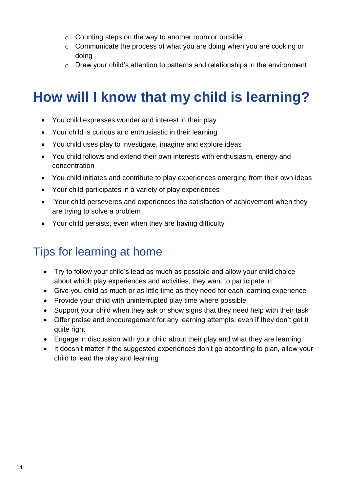- o Counting steps on the way to another room or outside
- o Communicate the process of what you are doing when you are cooking or doing
- o Draw your child's attention to patterns and relationships in the environment

## **How will I know that my child is learning?**

- You child expresses wonder and interest in their play
- Your child is curious and enthusiastic in their learning
- You child uses play to investigate, imagine and explore ideas
- You child follows and extend their own interests with enthusiasm, energy and concentration
- You child initiates and contribute to play experiences emerging from their own ideas
- Your child participates in a variety of play experiences
- Your child perseveres and experiences the satisfaction of achievement when they are trying to solve a problem
- Your child persists, even when they are having difficulty

### Tips for learning at home

- Try to follow your child's lead as much as possible and allow your child choice about which play experiences and activities, they want to participate in
- Give you child as much or as little time as they need for each learning experience
- Provide your child with uninterrupted play time where possible
- Support your child when they ask or show signs that they need help with their task
- Offer praise and encouragement for any learning attempts, even if they don't get it quite right
- Engage in discussion with your child about their play and what they are learning
- It doesn't matter if the suggested experiences don't go according to plan, allow your child to lead the play and learning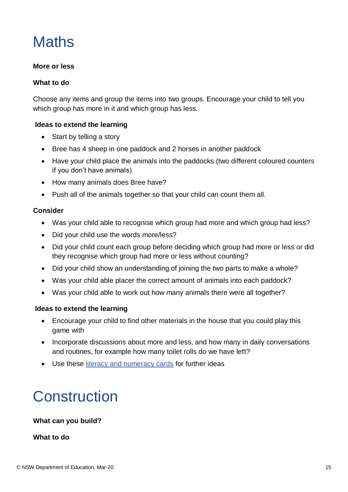# **Maths**

#### **More or less**

#### **What to do**

Choose any items and group the items into two groups. Encourage your child to tell you which group has more in it and which group has less.

#### **Ideas to extend the learning**

- Start by telling a story
- Bree has 4 sheep in one paddock and 2 horses in another paddock
- Have your child place the animals into the paddocks (two different coloured counters if you don't have animals)
- How many animals does Bree have?
- Push all of the animals together so that your child can count them all.

#### **Consider**

- Was your child able to recognise which group had more and which group had less?
- Did your child use the words more/less?
- Did your child count each group before deciding which group had more or less or did they recognise which group had more or less without counting?
- Did your child show an understanding of joining the two parts to make a whole?
- Was your child able placer the correct amount of animals into each paddock?
- Was your child able to work out how many animals there were all together?

#### **Ideas to extend the learning**

- Encourage your child to find other materials in the house that you could play this game with
- Incorporate discussions about more and less, and how many in daily conversations and routines, for example how many toilet rolls do we have left?
- Use these [literacy and numeracy cards](https://docs.education.gov.au/system/files/doc/other/ed13-0077_ec_literacy_and_numeracy_building_good_practice_resources_literacy_and_numeracy_cards_acc.pdf) for further ideas

# **Construction**

#### **What can you build?**

#### **What to do**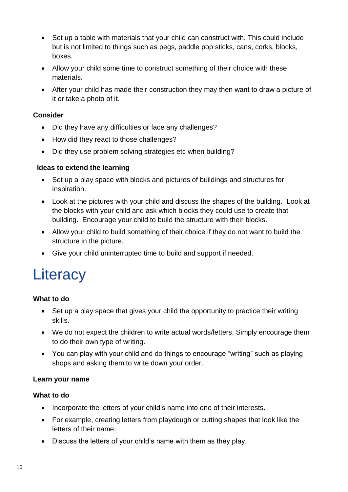- Set up a table with materials that your child can construct with. This could include but is not limited to things such as pegs, paddle pop sticks, cans, corks, blocks, boxes.
- Allow your child some time to construct something of their choice with these materials.
- After your child has made their construction they may then want to draw a picture of it or take a photo of it.

#### **Consider**

- Did they have any difficulties or face any challenges?
- How did they react to those challenges?
- Did they use problem solving strategies etc when building?

#### **Ideas to extend the learning**

- Set up a play space with blocks and pictures of buildings and structures for inspiration.
- Look at the pictures with your child and discuss the shapes of the building. Look at the blocks with your child and ask which blocks they could use to create that building. Encourage your child to build the structure with their blocks.
- Allow your child to build something of their choice if they do not want to build the structure in the picture.
- Give your child uninterrupted time to build and support if needed.

# **Literacy**

#### **What to do**

- Set up a play space that gives your child the opportunity to practice their writing skills.
- We do not expect the children to write actual words/letters. Simply encourage them to do their own type of writing.
- You can play with your child and do things to encourage "writing" such as playing shops and asking them to write down your order.

#### **Learn your name**

#### **What to do**

- Incorporate the letters of your child's name into one of their interests.
- For example, creating letters from playdough or cutting shapes that look like the letters of their name.
- Discuss the letters of your child's name with them as they play.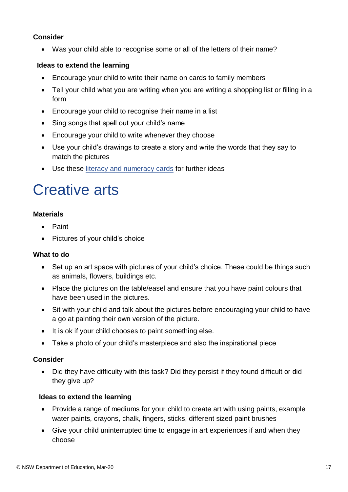#### **Consider**

Was your child able to recognise some or all of the letters of their name?

#### **Ideas to extend the learning**

- Encourage your child to write their name on cards to family members
- Tell your child what you are writing when you are writing a shopping list or filling in a form
- Encourage your child to recognise their name in a list
- Sing songs that spell out your child's name
- Encourage your child to write whenever they choose
- Use your child's drawings to create a story and write the words that they say to match the pictures
- Use these [literacy and numeracy cards](https://docs.education.gov.au/system/files/doc/other/ed13-0077_ec_literacy_and_numeracy_building_good_practice_resources_literacy_and_numeracy_cards_acc.pdf) for further ideas

# Creative arts

#### **Materials**

- Paint
- Pictures of your child's choice

#### **What to do**

- Set up an art space with pictures of your child's choice. These could be things such as animals, flowers, buildings etc.
- Place the pictures on the table/easel and ensure that you have paint colours that have been used in the pictures.
- Sit with your child and talk about the pictures before encouraging your child to have a go at painting their own version of the picture.
- It is ok if your child chooses to paint something else.
- Take a photo of your child's masterpiece and also the inspirational piece

#### **Consider**

• Did they have difficulty with this task? Did they persist if they found difficult or did they give up?

- Provide a range of mediums for your child to create art with using paints, example water paints, crayons, chalk, fingers, sticks, different sized paint brushes
- Give your child uninterrupted time to engage in art experiences if and when they choose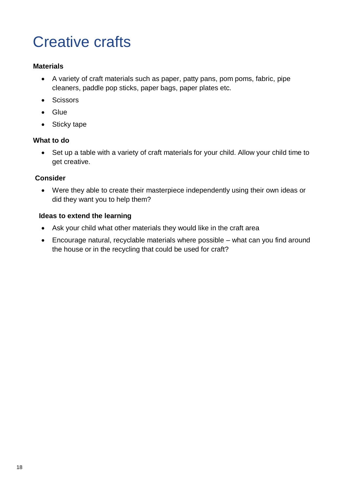# Creative crafts

#### **Materials**

- A variety of craft materials such as paper, patty pans, pom poms, fabric, pipe cleaners, paddle pop sticks, paper bags, paper plates etc.
- Scissors
- Glue
- Sticky tape

#### **What to do**

 Set up a table with a variety of craft materials for your child. Allow your child time to get creative.

#### **Consider**

 Were they able to create their masterpiece independently using their own ideas or did they want you to help them?

- Ask your child what other materials they would like in the craft area
- Encourage natural, recyclable materials where possible what can you find around the house or in the recycling that could be used for craft?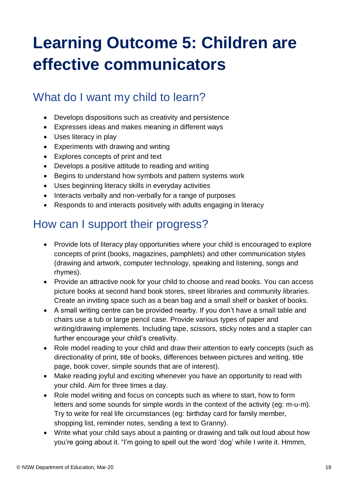# **Learning Outcome 5: Children are effective communicators**

### What do I want my child to learn?

- Develops dispositions such as creativity and persistence
- Expresses ideas and makes meaning in different ways
- Uses literacy in play
- Experiments with drawing and writing
- Explores concepts of print and text
- Develops a positive attitude to reading and writing
- Begins to understand how symbols and pattern systems work
- Uses beginning literacy skills in everyday activities
- Interacts verbally and non-verbally for a range of purposes
- Responds to and interacts positively with adults engaging in literacy

### How can I support their progress?

- Provide lots of literacy play opportunities where your child is encouraged to explore concepts of print (books, magazines, pamphlets) and other communication styles (drawing and artwork, computer technology, speaking and listening, songs and rhymes).
- Provide an attractive nook for your child to choose and read books. You can access picture books at second hand book stores, street libraries and community libraries. Create an inviting space such as a bean bag and a small shelf or basket of books.
- A small writing centre can be provided nearby. If you don't have a small table and chairs use a tub or large pencil case. Provide various types of paper and writing/drawing implements. Including tape, scissors, sticky notes and a stapler can further encourage your child's creativity.
- Role model reading to your child and draw their attention to early concepts (such as directionality of print, title of books, differences between pictures and writing, title page, book cover, simple sounds that are of interest).
- Make reading joyful and exciting whenever you have an opportunity to read with your child. Aim for three times a day.
- Role model writing and focus on concepts such as where to start, how to form letters and some sounds for simple words in the context of the activity (eg: m-u-m). Try to write for real life circumstances (eg: birthday card for family member, shopping list, reminder notes, sending a text to Granny).
- Write what your child says about a painting or drawing and talk out loud about how you're going about it. "I'm going to spell out the word 'dog' while I write it. Hmmm,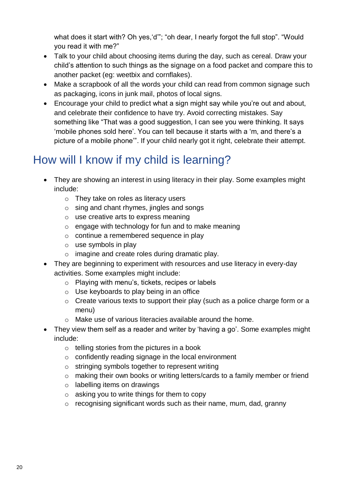what does it start with? Oh yes, 'd"'; "oh dear, I nearly forgot the full stop". "Would you read it with me?"

- Talk to your child about choosing items during the day, such as cereal. Draw your child's attention to such things as the signage on a food packet and compare this to another packet (eg: weetbix and cornflakes).
- Make a scrapbook of all the words your child can read from common signage such as packaging, icons in junk mail, photos of local signs.
- Encourage your child to predict what a sign might say while you're out and about, and celebrate their confidence to have try. Avoid correcting mistakes. Say something like "That was a good suggestion, I can see you were thinking. It says 'mobile phones sold here'. You can tell because it starts with a 'm, and there's a picture of a mobile phone'". If your child nearly got it right, celebrate their attempt.

## How will I know if my child is learning?

- They are showing an interest in using literacy in their play. Some examples might include:
	- o They take on roles as literacy users
	- o sing and chant rhymes, jingles and songs
	- o use creative arts to express meaning
	- o engage with technology for fun and to make meaning
	- o continue a remembered sequence in play
	- o use symbols in play
	- o imagine and create roles during dramatic play.
- They are beginning to experiment with resources and use literacy in every-day activities. Some examples might include:
	- o Playing with menu's, tickets, recipes or labels
	- o Use keyboards to play being in an office
	- o Create various texts to support their play (such as a police charge form or a menu)
	- o Make use of various literacies available around the home.
- They view them self as a reader and writer by 'having a go'. Some examples might include:
	- $\circ$  telling stories from the pictures in a book
	- o confidently reading signage in the local environment
	- o stringing symbols together to represent writing
	- o making their own books or writing letters/cards to a family member or friend
	- o labelling items on drawings
	- $\circ$  asking you to write things for them to copy
	- o recognising significant words such as their name, mum, dad, granny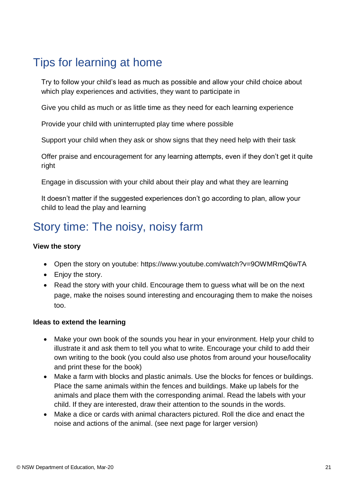### Tips for learning at home

Try to follow your child's lead as much as possible and allow your child choice about which play experiences and activities, they want to participate in

Give you child as much or as little time as they need for each learning experience

Provide your child with uninterrupted play time where possible

Support your child when they ask or show signs that they need help with their task

Offer praise and encouragement for any learning attempts, even if they don't get it quite right

Engage in discussion with your child about their play and what they are learning

It doesn't matter if the suggested experiences don't go according to plan, allow your child to lead the play and learning

### Story time: The noisy, noisy farm

#### **View the story**

- Open the story on youtube: https://www.youtube.com/watch?v=9OWMRmQ6wTA
- Enjoy the story.
- Read the story with your child. Encourage them to quess what will be on the next page, make the noises sound interesting and encouraging them to make the noises too.

- Make your own book of the sounds you hear in your environment. Help your child to illustrate it and ask them to tell you what to write. Encourage your child to add their own writing to the book (you could also use photos from around your house/locality and print these for the book)
- Make a farm with blocks and plastic animals. Use the blocks for fences or buildings. Place the same animals within the fences and buildings. Make up labels for the animals and place them with the corresponding animal. Read the labels with your child. If they are interested, draw their attention to the sounds in the words.
- Make a dice or cards with animal characters pictured. Roll the dice and enact the noise and actions of the animal. (see next page for larger version)